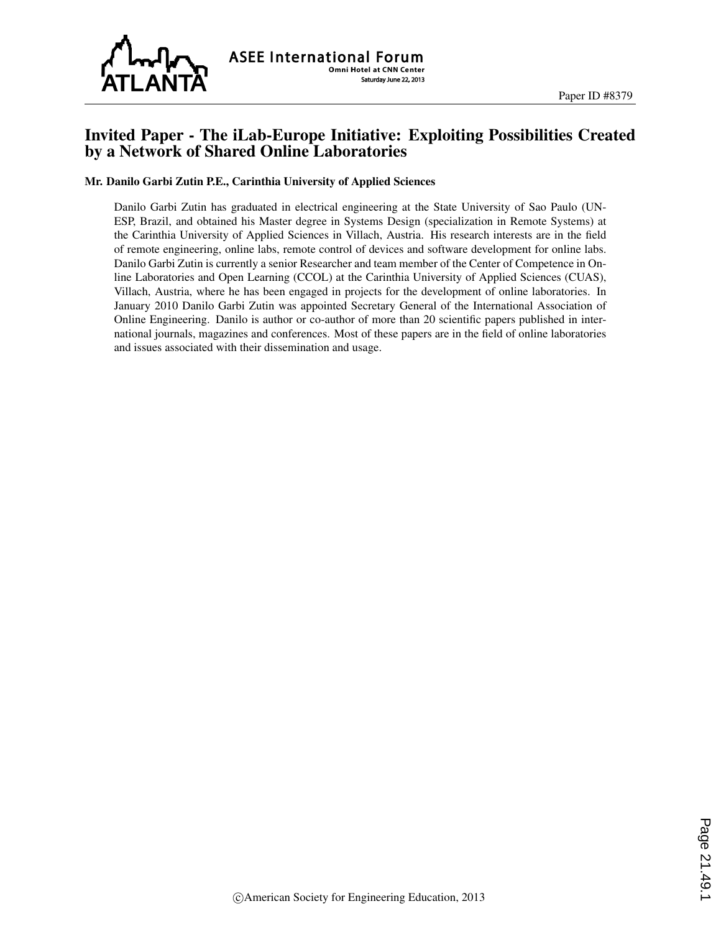

## Invited Paper - The iLab-Europe Initiative: Exploiting Possibilities Created by a Network of Shared Online Laboratories

#### Mr. Danilo Garbi Zutin P.E., Carinthia University of Applied Sciences

Danilo Garbi Zutin has graduated in electrical engineering at the State University of Sao Paulo (UN-ESP, Brazil, and obtained his Master degree in Systems Design (specialization in Remote Systems) at the Carinthia University of Applied Sciences in Villach, Austria. His research interests are in the field of remote engineering, online labs, remote control of devices and software development for online labs. Danilo Garbi Zutin is currently a senior Researcher and team member of the Center of Competence in Online Laboratories and Open Learning (CCOL) at the Carinthia University of Applied Sciences (CUAS), Villach, Austria, where he has been engaged in projects for the development of online laboratories. In January 2010 Danilo Garbi Zutin was appointed Secretary General of the International Association of Online Engineering. Danilo is author or co-author of more than 20 scientific papers published in international journals, magazines and conferences. Most of these papers are in the field of online laboratories and issues associated with their dissemination and usage.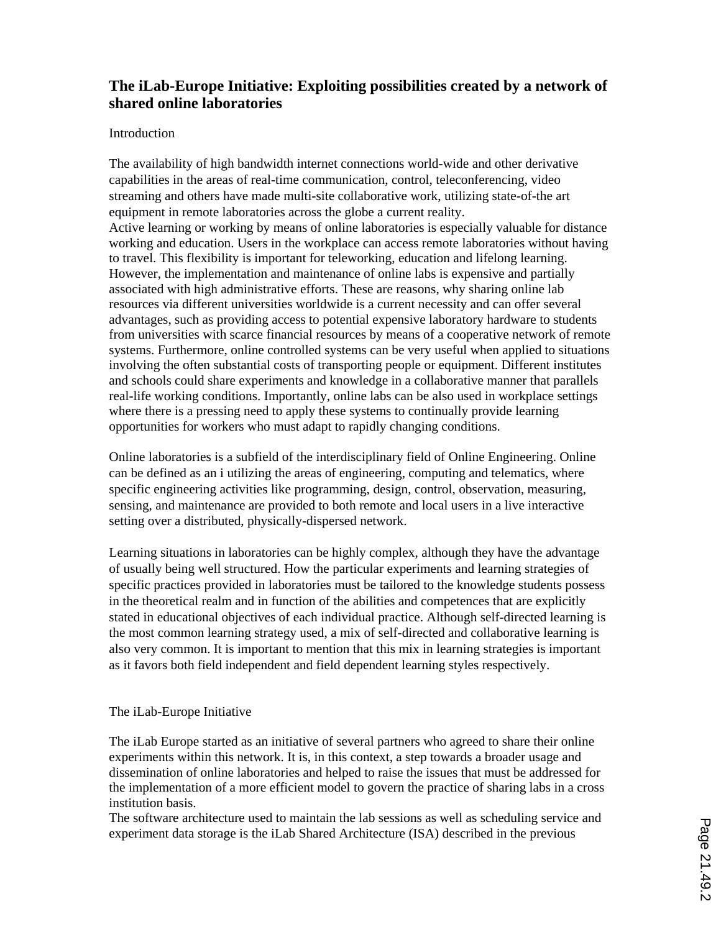# **The iLab-Europe Initiative: Exploiting possibilities created by a network of shared online laboratories**

### Introduction

The availability of high bandwidth internet connections world-wide and other derivative capabilities in the areas of real-time communication, control, teleconferencing, video streaming and others have made multi-site collaborative work, utilizing state-of-the art equipment in remote laboratories across the globe a current reality. Active learning or working by means of online laboratories is especially valuable for distance working and education. Users in the workplace can access remote laboratories without having to travel. This flexibility is important for teleworking, education and lifelong learning. However, the implementation and maintenance of online labs is expensive and partially associated with high administrative efforts. These are reasons, why sharing online lab resources via different universities worldwide is a current necessity and can offer several advantages, such as providing access to potential expensive laboratory hardware to students from universities with scarce financial resources by means of a cooperative network of remote systems. Furthermore, online controlled systems can be very useful when applied to situations involving the often substantial costs of transporting people or equipment. Different institutes and schools could share experiments and knowledge in a collaborative manner that parallels real-life working conditions. Importantly, online labs can be also used in workplace settings where there is a pressing need to apply these systems to continually provide learning opportunities for workers who must adapt to rapidly changing conditions.

Online laboratories is a subfield of the interdisciplinary field of Online Engineering. Online can be defined as an i utilizing the areas of engineering, computing and telematics, where specific engineering activities like programming, design, control, observation, measuring, sensing, and maintenance are provided to both remote and local users in a live interactive setting over a distributed, physically-dispersed network.

Learning situations in laboratories can be highly complex, although they have the advantage of usually being well structured. How the particular experiments and learning strategies of specific practices provided in laboratories must be tailored to the knowledge students possess in the theoretical realm and in function of the abilities and competences that are explicitly stated in educational objectives of each individual practice. Although self-directed learning is the most common learning strategy used, a mix of self-directed and collaborative learning is also very common. It is important to mention that this mix in learning strategies is important as it favors both field independent and field dependent learning styles respectively.

### The iLab-Europe Initiative

The iLab Europe started as an initiative of several partners who agreed to share their online experiments within this network. It is, in this context, a step towards a broader usage and dissemination of online laboratories and helped to raise the issues that must be addressed for the implementation of a more efficient model to govern the practice of sharing labs in a cross institution basis.

The software architecture used to maintain the lab sessions as well as scheduling service and experiment data storage is the iLab Shared Architecture (ISA) described in the previous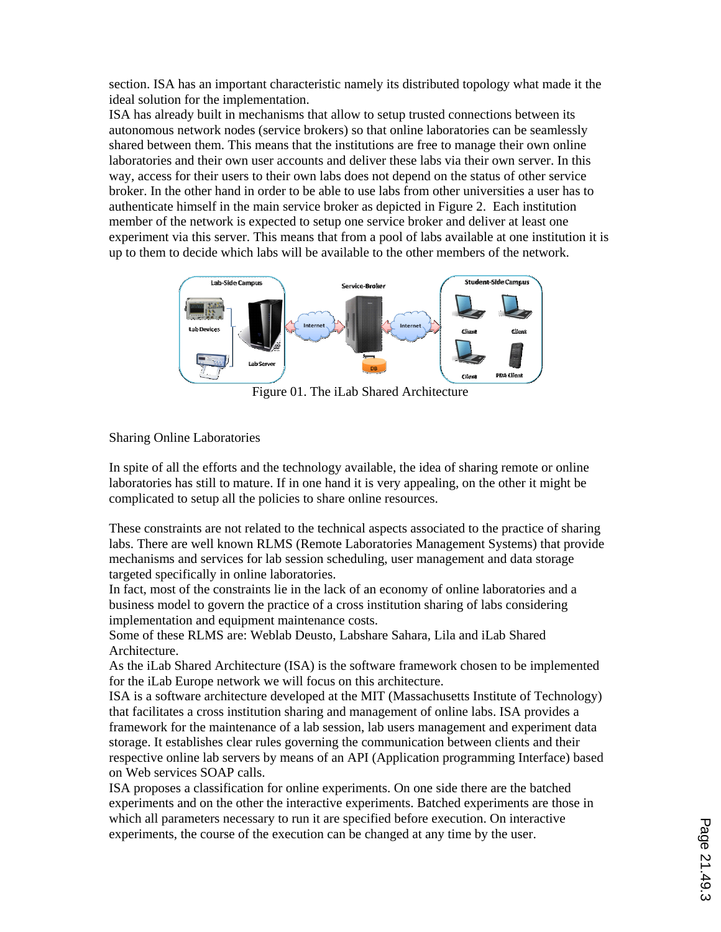section. ISA has an important characteristic namely its distributed topology what made it the ideal solution for the implementation.

ISA has already built in mechanisms that allow to setup trusted connections between its autonomous network nodes (service brokers) so that online laboratories can be seamlessly shared between them. This means that the institutions are free to manage their own online laboratories and their own user accounts and deliver these labs via their own server. In this way, access for their users to their own labs does not depend on the status of other service broker. In the other hand in order to be able to use labs from other universities a user has to authenticate himself in the main service broker as depicted in Figure 2. Each institution member of the network is expected to setup one service broker and deliver at least one experiment via this server. This means that from a pool of labs available at one institution it is up to them to decide which labs will be available to the other members of the network.



Figure 01. The iLab Shared Architecture

### Sharing Online Laboratories

In spite of all the efforts and the technology available, the idea of sharing remote or online laboratories has still to mature. If in one hand it is very appealing, on the other it might be complicated to setup all the policies to share online resources.

These constraints are not related to the technical aspects associated to the practice of sharing labs. There are well known RLMS (Remote Laboratories Management Systems) that provide mechanisms and services for lab session scheduling, user management and data storage targeted specifically in online laboratories.

In fact, most of the constraints lie in the lack of an economy of online laboratories and a business model to govern the practice of a cross institution sharing of labs considering implementation and equipment maintenance costs.

Some of these RLMS are: Weblab Deusto, Labshare Sahara, Lila and iLab Shared Architecture.

As the iLab Shared Architecture (ISA) is the software framework chosen to be implemented for the iLab Europe network we will focus on this architecture.

ISA is a software architecture developed at the MIT (Massachusetts Institute of Technology) that facilitates a cross institution sharing and management of online labs. ISA provides a framework for the maintenance of a lab session, lab users management and experiment data storage. It establishes clear rules governing the communication between clients and their respective online lab servers by means of an API (Application programming Interface) based on Web services SOAP calls.

ISA proposes a classification for online experiments. On one side there are the batched experiments and on the other the interactive experiments. Batched experiments are those in which all parameters necessary to run it are specified before execution. On interactive experiments, the course of the execution can be changed at any time by the user.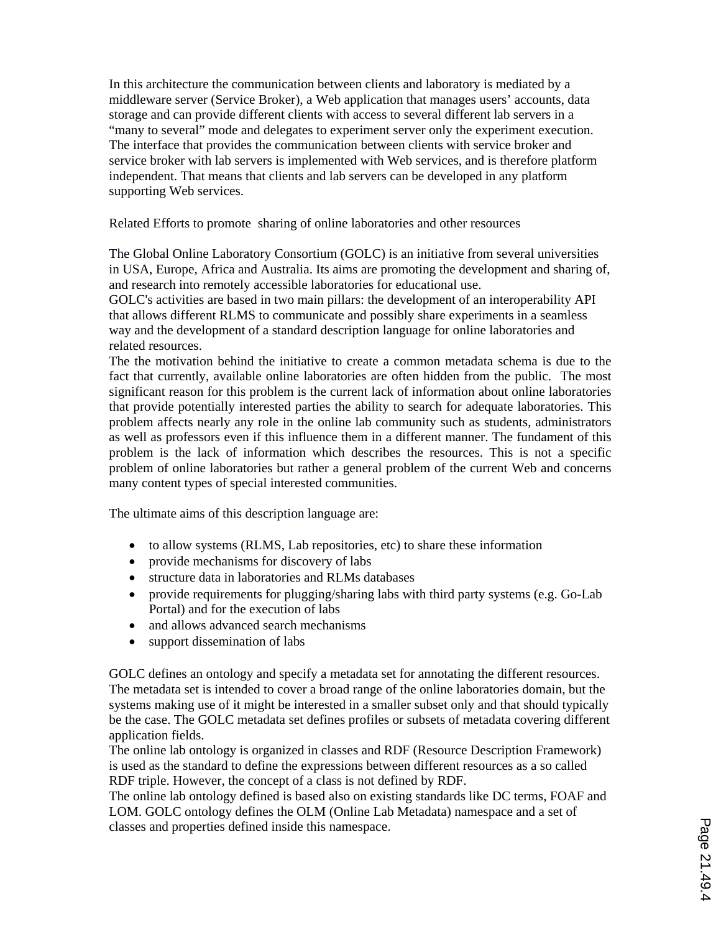In this architecture the communication between clients and laboratory is mediated by a middleware server (Service Broker), a Web application that manages users' accounts, data storage and can provide different clients with access to several different lab servers in a "many to several" mode and delegates to experiment server only the experiment execution. The interface that provides the communication between clients with service broker and service broker with lab servers is implemented with Web services, and is therefore platform independent. That means that clients and lab servers can be developed in any platform supporting Web services.

Related Efforts to promote sharing of online laboratories and other resources

The Global Online Laboratory Consortium (GOLC) is an initiative from several universities in USA, Europe, Africa and Australia. Its aims are promoting the development and sharing of, and research into remotely accessible laboratories for educational use.

GOLC's activities are based in two main pillars: the development of an interoperability API that allows different RLMS to communicate and possibly share experiments in a seamless way and the development of a standard description language for online laboratories and related resources.

The the motivation behind the initiative to create a common metadata schema is due to the fact that currently, available online laboratories are often hidden from the public. The most significant reason for this problem is the current lack of information about online laboratories that provide potentially interested parties the ability to search for adequate laboratories. This problem affects nearly any role in the online lab community such as students, administrators as well as professors even if this influence them in a different manner. The fundament of this problem is the lack of information which describes the resources. This is not a specific problem of online laboratories but rather a general problem of the current Web and concerns many content types of special interested communities.

The ultimate aims of this description language are:

- to allow systems (RLMS, Lab repositories, etc) to share these information
- provide mechanisms for discovery of labs
- structure data in laboratories and RLMs databases
- provide requirements for plugging/sharing labs with third party systems (e.g. Go-Lab Portal) and for the execution of labs
- and allows advanced search mechanisms
- support dissemination of labs

GOLC defines an ontology and specify a metadata set for annotating the different resources. The metadata set is intended to cover a broad range of the online laboratories domain, but the systems making use of it might be interested in a smaller subset only and that should typically be the case. The GOLC metadata set defines profiles or subsets of metadata covering different application fields.

The online lab ontology is organized in classes and RDF (Resource Description Framework) is used as the standard to define the expressions between different resources as a so called RDF triple. However, the concept of a class is not defined by RDF.

The online lab ontology defined is based also on existing standards like DC terms, FOAF and LOM. GOLC ontology defines the OLM (Online Lab Metadata) namespace and a set of classes and properties defined inside this namespace.